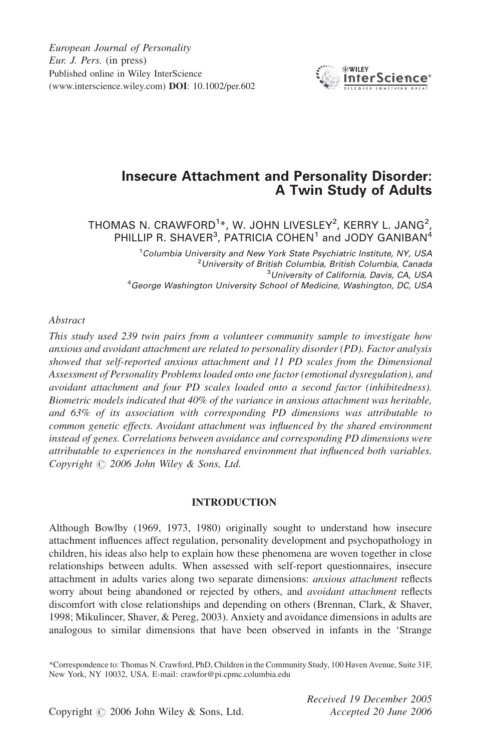European Journal of Personality Eur. J. Pers. (in press) Published online in Wiley InterScience (www.interscience.wiley.com) DOI: 10.1002/per.602



# Insecure Attachment and Personality Disorder: A Twin Study of Adults

THOMAS N. CRAWFORD $^{1\ast}$ , W. JOHN LIVESLEY $^{2}$ , KERRY L. JANG $^{2}$ , PHILLIP R. SHAVER<sup>3</sup>, PATRICIA COHEN<sup>1</sup> and JODY GANIBAN<sup>4</sup>

> <sup>1</sup>Columbia University and New York State Psychiatric Institute, NY, USA<br><sup>2</sup>University of British Columbia, British Columbia, Canada <sup>2</sup>University of British Columbia, British Columbia, Canada <sup>3</sup>University of California, Davis, CA, USA University of California, Davis, CA, USA<sup>3</sup><br>George Washington University School of Medicine, Washington, DC, USA<sup>4</sup>

#### Abstract

This study used 239 twin pairs from a volunteer community sample to investigate how anxious and avoidant attachment are related to personality disorder (PD). Factor analysis showed that self-reported anxious attachment and 11 PD scales from the Dimensional Assessment of Personality Problems loaded onto one factor (emotional dysregulation), and avoidant attachment and four PD scales loaded onto a second factor (inhibitedness). Biometric models indicated that 40% of the variance in anxious attachment was heritable, and 63% of its association with corresponding PD dimensions was attributable to common genetic effects. Avoidant attachment was influenced by the shared environment instead of genes. Correlations between avoidance and corresponding PD dimensions were attributable to experiences in the nonshared environment that influenced both variables. Copyright  $\odot$  2006 John Wiley & Sons, Ltd.

# INTRODUCTION

Although Bowlby (1969, 1973, 1980) originally sought to understand how insecure attachment influences affect regulation, personality development and psychopathology in children, his ideas also help to explain how these phenomena are woven together in close relationships between adults. When assessed with self-report questionnaires, insecure attachment in adults varies along two separate dimensions: anxious attachment reflects worry about being abandoned or rejected by others, and *avoidant attachment* reflects discomfort with close relationships and depending on others (Brennan, Clark, & Shaver, 1998; Mikulincer, Shaver, & Pereg, 2003). Anxiety and avoidance dimensions in adults are analogous to similar dimensions that have been observed in infants in the 'Strange

\*Correspondence to: Thomas N. Crawford, PhD, Children in the Community Study, 100 Haven Avenue, Suite 31F, New York, NY 10032, USA. E-mail: crawfor@pi.cpmc.columbia.edu

> Received 19 December 2005 Accepted 20 June 2006

Copyright  $\odot$  2006 John Wiley & Sons, Ltd.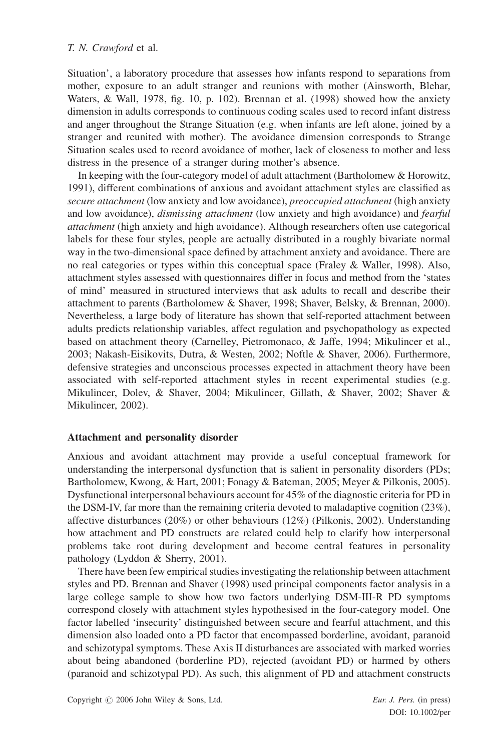Situation', a laboratory procedure that assesses how infants respond to separations from mother, exposure to an adult stranger and reunions with mother (Ainsworth, Blehar, Waters, & Wall, 1978, fig. 10, p. 102). Brennan et al. (1998) showed how the anxiety dimension in adults corresponds to continuous coding scales used to record infant distress and anger throughout the Strange Situation (e.g. when infants are left alone, joined by a stranger and reunited with mother). The avoidance dimension corresponds to Strange Situation scales used to record avoidance of mother, lack of closeness to mother and less distress in the presence of a stranger during mother's absence.

In keeping with the four-category model of adult attachment (Bartholomew & Horowitz, 1991), different combinations of anxious and avoidant attachment styles are classified as secure attachment (low anxiety and low avoidance), preoccupied attachment (high anxiety and low avoidance), dismissing attachment (low anxiety and high avoidance) and fearful attachment (high anxiety and high avoidance). Although researchers often use categorical labels for these four styles, people are actually distributed in a roughly bivariate normal way in the two-dimensional space defined by attachment anxiety and avoidance. There are no real categories or types within this conceptual space (Fraley & Waller, 1998). Also, attachment styles assessed with questionnaires differ in focus and method from the 'states of mind' measured in structured interviews that ask adults to recall and describe their attachment to parents (Bartholomew & Shaver, 1998; Shaver, Belsky, & Brennan, 2000). Nevertheless, a large body of literature has shown that self-reported attachment between adults predicts relationship variables, affect regulation and psychopathology as expected based on attachment theory (Carnelley, Pietromonaco, & Jaffe, 1994; Mikulincer et al., 2003; Nakash-Eisikovits, Dutra, & Westen, 2002; Noftle & Shaver, 2006). Furthermore, defensive strategies and unconscious processes expected in attachment theory have been associated with self-reported attachment styles in recent experimental studies (e.g. Mikulincer, Dolev, & Shaver, 2004; Mikulincer, Gillath, & Shaver, 2002; Shaver & Mikulincer, 2002).

# Attachment and personality disorder

Anxious and avoidant attachment may provide a useful conceptual framework for understanding the interpersonal dysfunction that is salient in personality disorders (PDs; Bartholomew, Kwong, & Hart, 2001; Fonagy & Bateman, 2005; Meyer & Pilkonis, 2005). Dysfunctional interpersonal behaviours account for 45% of the diagnostic criteria for PD in the DSM-IV, far more than the remaining criteria devoted to maladaptive cognition (23%), affective disturbances (20%) or other behaviours (12%) (Pilkonis, 2002). Understanding how attachment and PD constructs are related could help to clarify how interpersonal problems take root during development and become central features in personality pathology (Lyddon & Sherry, 2001).

There have been few empirical studies investigating the relationship between attachment styles and PD. Brennan and Shaver (1998) used principal components factor analysis in a large college sample to show how two factors underlying DSM-III-R PD symptoms correspond closely with attachment styles hypothesised in the four-category model. One factor labelled 'insecurity' distinguished between secure and fearful attachment, and this dimension also loaded onto a PD factor that encompassed borderline, avoidant, paranoid and schizotypal symptoms. These Axis II disturbances are associated with marked worries about being abandoned (borderline PD), rejected (avoidant PD) or harmed by others (paranoid and schizotypal PD). As such, this alignment of PD and attachment constructs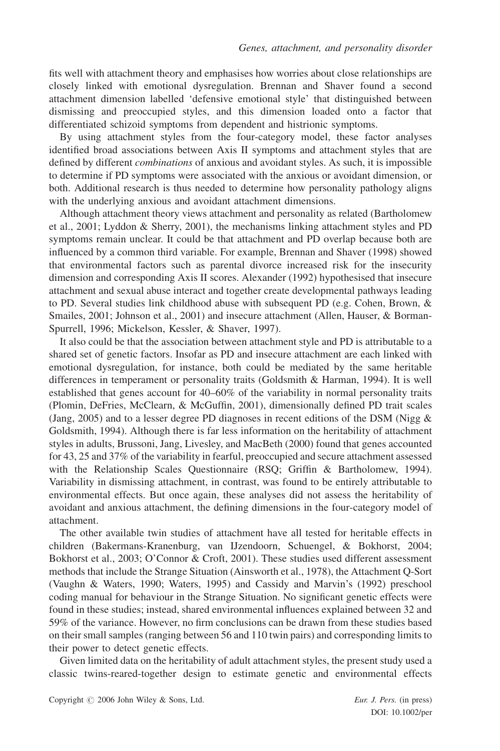fits well with attachment theory and emphasises how worries about close relationships are closely linked with emotional dysregulation. Brennan and Shaver found a second attachment dimension labelled 'defensive emotional style' that distinguished between dismissing and preoccupied styles, and this dimension loaded onto a factor that differentiated schizoid symptoms from dependent and histrionic symptoms.

By using attachment styles from the four-category model, these factor analyses identified broad associations between Axis II symptoms and attachment styles that are defined by different combinations of anxious and avoidant styles. As such, it is impossible to determine if PD symptoms were associated with the anxious or avoidant dimension, or both. Additional research is thus needed to determine how personality pathology aligns with the underlying anxious and avoidant attachment dimensions.

Although attachment theory views attachment and personality as related (Bartholomew et al., 2001; Lyddon & Sherry, 2001), the mechanisms linking attachment styles and PD symptoms remain unclear. It could be that attachment and PD overlap because both are influenced by a common third variable. For example, Brennan and Shaver (1998) showed that environmental factors such as parental divorce increased risk for the insecurity dimension and corresponding Axis II scores. Alexander (1992) hypothesised that insecure attachment and sexual abuse interact and together create developmental pathways leading to PD. Several studies link childhood abuse with subsequent PD (e.g. Cohen, Brown, & Smailes, 2001; Johnson et al., 2001) and insecure attachment (Allen, Hauser, & Borman-Spurrell, 1996; Mickelson, Kessler, & Shaver, 1997).

It also could be that the association between attachment style and PD is attributable to a shared set of genetic factors. Insofar as PD and insecure attachment are each linked with emotional dysregulation, for instance, both could be mediated by the same heritable differences in temperament or personality traits (Goldsmith & Harman, 1994). It is well established that genes account for 40–60% of the variability in normal personality traits (Plomin, DeFries, McClearn, & McGuffin, 2001), dimensionally defined PD trait scales (Jang, 2005) and to a lesser degree PD diagnoses in recent editions of the DSM (Nigg & Goldsmith, 1994). Although there is far less information on the heritability of attachment styles in adults, Brussoni, Jang, Livesley, and MacBeth (2000) found that genes accounted for 43, 25 and 37% of the variability in fearful, preoccupied and secure attachment assessed with the Relationship Scales Questionnaire (RSQ; Griffin & Bartholomew, 1994). Variability in dismissing attachment, in contrast, was found to be entirely attributable to environmental effects. But once again, these analyses did not assess the heritability of avoidant and anxious attachment, the defining dimensions in the four-category model of attachment.

The other available twin studies of attachment have all tested for heritable effects in children (Bakermans-Kranenburg, van IJzendoorn, Schuengel, & Bokhorst, 2004; Bokhorst et al., 2003; O'Connor & Croft, 2001). These studies used different assessment methods that include the Strange Situation (Ainsworth et al., 1978), the Attachment Q-Sort (Vaughn & Waters, 1990; Waters, 1995) and Cassidy and Marvin's (1992) preschool coding manual for behaviour in the Strange Situation. No significant genetic effects were found in these studies; instead, shared environmental influences explained between 32 and 59% of the variance. However, no firm conclusions can be drawn from these studies based on their small samples (ranging between 56 and 110 twin pairs) and corresponding limits to their power to detect genetic effects.

Given limited data on the heritability of adult attachment styles, the present study used a classic twins-reared-together design to estimate genetic and environmental effects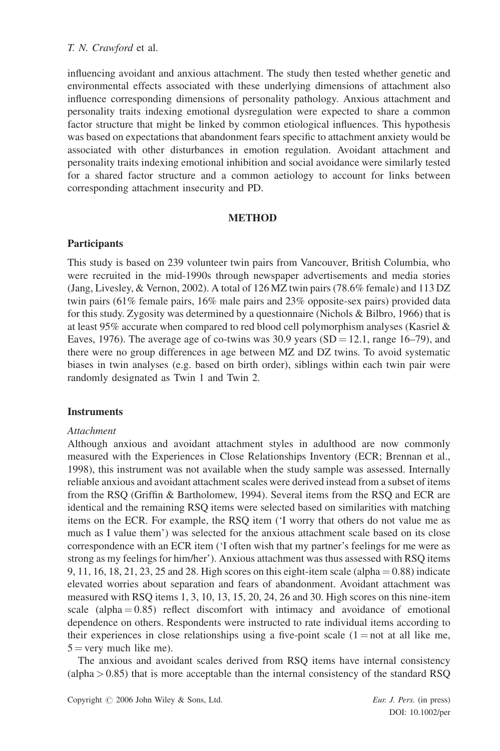influencing avoidant and anxious attachment. The study then tested whether genetic and environmental effects associated with these underlying dimensions of attachment also influence corresponding dimensions of personality pathology. Anxious attachment and personality traits indexing emotional dysregulation were expected to share a common factor structure that might be linked by common etiological influences. This hypothesis was based on expectations that abandonment fears specific to attachment anxiety would be associated with other disturbances in emotion regulation. Avoidant attachment and personality traits indexing emotional inhibition and social avoidance were similarly tested for a shared factor structure and a common aetiology to account for links between corresponding attachment insecurity and PD.

# **METHOD**

# Participants

This study is based on 239 volunteer twin pairs from Vancouver, British Columbia, who were recruited in the mid-1990s through newspaper advertisements and media stories (Jang, Livesley, & Vernon, 2002). A total of 126 MZ twin pairs (78.6% female) and 113 DZ twin pairs (61% female pairs, 16% male pairs and 23% opposite-sex pairs) provided data for this study. Zygosity was determined by a questionnaire (Nichols & Bilbro, 1966) that is at least 95% accurate when compared to red blood cell polymorphism analyses (Kasriel & Eaves, 1976). The average age of co-twins was 30.9 years  $(SD = 12.1$ , range 16–79), and there were no group differences in age between MZ and DZ twins. To avoid systematic biases in twin analyses (e.g. based on birth order), siblings within each twin pair were randomly designated as Twin 1 and Twin 2.

# **Instruments**

# Attachment

Although anxious and avoidant attachment styles in adulthood are now commonly measured with the Experiences in Close Relationships Inventory (ECR; Brennan et al., 1998), this instrument was not available when the study sample was assessed. Internally reliable anxious and avoidant attachment scales were derived instead from a subset of items from the RSQ (Griffin & Bartholomew, 1994). Several items from the RSQ and ECR are identical and the remaining RSQ items were selected based on similarities with matching items on the ECR. For example, the RSQ item ('I worry that others do not value me as much as I value them') was selected for the anxious attachment scale based on its close correspondence with an ECR item ('I often wish that my partner's feelings for me were as strong as my feelings for him/her'). Anxious attachment was thus assessed with RSQ items 9, 11, 16, 18, 21, 23, 25 and 28. High scores on this eight-item scale (alpha  $= 0.88$ ) indicate elevated worries about separation and fears of abandonment. Avoidant attachment was measured with RSQ items 1, 3, 10, 13, 15, 20, 24, 26 and 30. High scores on this nine-item scale (alpha  $= 0.85$ ) reflect discomfort with intimacy and avoidance of emotional dependence on others. Respondents were instructed to rate individual items according to their experiences in close relationships using a five-point scale  $(1 = not at all like me,$  $5 = \text{very much like me}.$ 

The anxious and avoidant scales derived from RSQ items have internal consistency  $\alpha$  (alpha  $> 0.85$ ) that is more acceptable than the internal consistency of the standard RSQ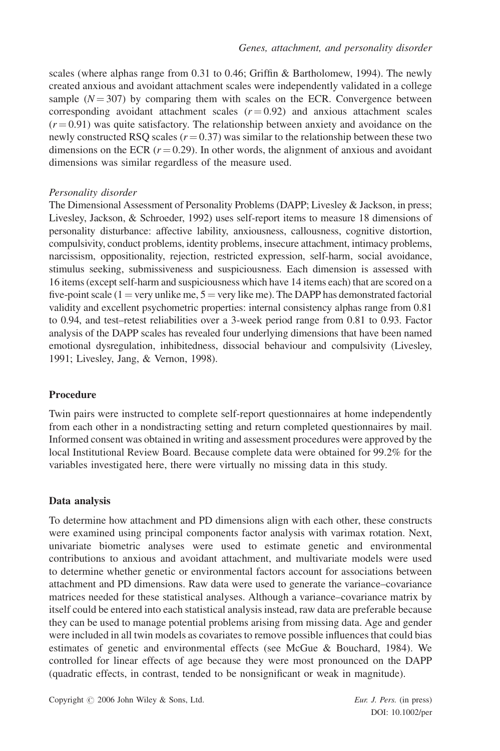scales (where alphas range from 0.31 to 0.46; Griffin & Bartholomew, 1994). The newly created anxious and avoidant attachment scales were independently validated in a college sample  $(N = 307)$  by comparing them with scales on the ECR. Convergence between corresponding avoidant attachment scales  $(r = 0.92)$  and anxious attachment scales  $(r = 0.91)$  was quite satisfactory. The relationship between anxiety and avoidance on the newly constructed RSQ scales ( $r = 0.37$ ) was similar to the relationship between these two dimensions on the ECR  $(r = 0.29)$ . In other words, the alignment of anxious and avoidant dimensions was similar regardless of the measure used.

# Personality disorder

The Dimensional Assessment of Personality Problems (DAPP; Livesley & Jackson, in press; Livesley, Jackson, & Schroeder, 1992) uses self-report items to measure 18 dimensions of personality disturbance: affective lability, anxiousness, callousness, cognitive distortion, compulsivity, conduct problems, identity problems, insecure attachment, intimacy problems, narcissism, oppositionality, rejection, restricted expression, self-harm, social avoidance, stimulus seeking, submissiveness and suspiciousness. Each dimension is assessed with 16 items (except self-harm and suspiciousness which have 14 items each) that are scored on a five-point scale (1 = very unlike me,  $5 =$  very like me). The DAPP has demonstrated factorial validity and excellent psychometric properties: internal consistency alphas range from 0.81 to 0.94, and test–retest reliabilities over a 3-week period range from 0.81 to 0.93. Factor analysis of the DAPP scales has revealed four underlying dimensions that have been named emotional dysregulation, inhibitedness, dissocial behaviour and compulsivity (Livesley, 1991; Livesley, Jang, & Vernon, 1998).

# Procedure

Twin pairs were instructed to complete self-report questionnaires at home independently from each other in a nondistracting setting and return completed questionnaires by mail. Informed consent was obtained in writing and assessment procedures were approved by the local Institutional Review Board. Because complete data were obtained for 99.2% for the variables investigated here, there were virtually no missing data in this study.

# Data analysis

To determine how attachment and PD dimensions align with each other, these constructs were examined using principal components factor analysis with varimax rotation. Next, univariate biometric analyses were used to estimate genetic and environmental contributions to anxious and avoidant attachment, and multivariate models were used to determine whether genetic or environmental factors account for associations between attachment and PD dimensions. Raw data were used to generate the variance–covariance matrices needed for these statistical analyses. Although a variance–covariance matrix by itself could be entered into each statistical analysis instead, raw data are preferable because they can be used to manage potential problems arising from missing data. Age and gender were included in all twin models as covariates to remove possible influences that could bias estimates of genetic and environmental effects (see McGue & Bouchard, 1984). We controlled for linear effects of age because they were most pronounced on the DAPP (quadratic effects, in contrast, tended to be nonsignificant or weak in magnitude).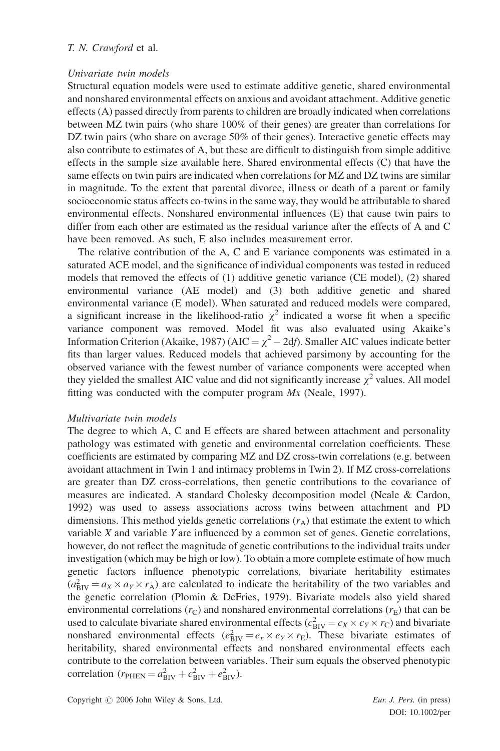#### Univariate twin models

Structural equation models were used to estimate additive genetic, shared environmental and nonshared environmental effects on anxious and avoidant attachment. Additive genetic effects (A) passed directly from parents to children are broadly indicated when correlations between MZ twin pairs (who share 100% of their genes) are greater than correlations for DZ twin pairs (who share on average 50% of their genes). Interactive genetic effects may also contribute to estimates of A, but these are difficult to distinguish from simple additive effects in the sample size available here. Shared environmental effects (C) that have the same effects on twin pairs are indicated when correlations for MZ and DZ twins are similar in magnitude. To the extent that parental divorce, illness or death of a parent or family socioeconomic status affects co-twins in the same way, they would be attributable to shared environmental effects. Nonshared environmental influences (E) that cause twin pairs to differ from each other are estimated as the residual variance after the effects of A and C have been removed. As such, E also includes measurement error.

The relative contribution of the A, C and E variance components was estimated in a saturated ACE model, and the significance of individual components was tested in reduced models that removed the effects of (1) additive genetic variance (CE model), (2) shared environmental variance (AE model) and (3) both additive genetic and shared environmental variance (E model). When saturated and reduced models were compared, a significant increase in the likelihood-ratio  $\chi^2$  indicated a worse fit when a specific variance component was removed. Model fit was also evaluated using Akaike's Information Criterion (Akaike, 1987) (AIC =  $\chi^2$  – 2df). Smaller AIC values indicate better fits than larger values. Reduced models that achieved parsimony by accounting for the observed variance with the fewest number of variance components were accepted when they yielded the smallest AIC value and did not significantly increase  $\chi^2$  values. All model fitting was conducted with the computer program  $Mx$  (Neale, 1997).

#### Multivariate twin models

The degree to which A, C and E effects are shared between attachment and personality pathology was estimated with genetic and environmental correlation coefficients. These coefficients are estimated by comparing MZ and DZ cross-twin correlations (e.g. between avoidant attachment in Twin 1 and intimacy problems in Twin 2). If MZ cross-correlations are greater than DZ cross-correlations, then genetic contributions to the covariance of measures are indicated. A standard Cholesky decomposition model (Neale & Cardon, 1992) was used to assess associations across twins between attachment and PD dimensions. This method yields genetic correlations  $(r_A)$  that estimate the extent to which variable X and variable Y are influenced by a common set of genes. Genetic correlations, however, do not reflect the magnitude of genetic contributions to the individual traits under investigation (which may be high or low). To obtain a more complete estimate of how much genetic factors influence phenotypic correlations, bivariate heritability estimates  $(a<sub>BIV</sub><sup>2</sup> = a<sub>X</sub> \times a<sub>Y</sub> \times r<sub>A</sub>)$  are calculated to indicate the heritability of the two variables and the genetic correlation (Plomin & DeFries, 1979). Bivariate models also yield shared environmental correlations ( $r<sub>C</sub>$ ) and nonshared environmental correlations ( $r<sub>E</sub>$ ) that can be used to calculate bivariate shared environmental effects ( $c_{\text{BIV}}^2 = c_X \times c_Y \times r_C$ ) and bivariate nonshared environmental effects  $(e_{\text{BV}}^2 = e_x \times e_y \times r_E)$ . These bivariate estimates of heritability, shared environmental effects and nonshared environmental effects each contribute to the correlation between variables. Their sum equals the observed phenotypic correlation  $(r_{\text{PHEN}} = a_{\text{BIV}}^2 + c_{\text{BIV}}^2 + e_{\text{BIV}}^2)$ .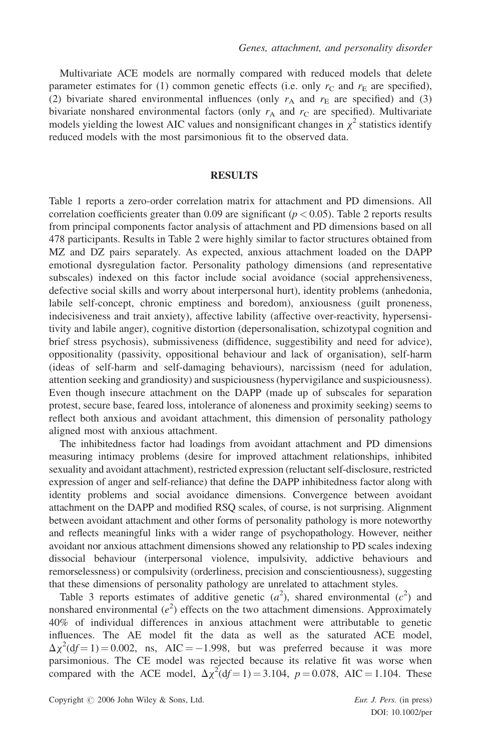Multivariate ACE models are normally compared with reduced models that delete parameter estimates for (1) common genetic effects (i.e. only  $r<sub>C</sub>$  and  $r<sub>E</sub>$  are specified), (2) bivariate shared environmental influences (only  $r_A$  and  $r_E$  are specified) and (3) bivariate nonshared environmental factors (only  $r_A$  and  $r_C$  are specified). Multivariate models yielding the lowest AIC values and nonsignificant changes in  $\chi^2$  statistics identify reduced models with the most parsimonious fit to the observed data.

#### RESULTS

Table 1 reports a zero-order correlation matrix for attachment and PD dimensions. All correlation coefficients greater than 0.09 are significant ( $p < 0.05$ ). Table 2 reports results from principal components factor analysis of attachment and PD dimensions based on all 478 participants. Results in Table 2 were highly similar to factor structures obtained from MZ and DZ pairs separately. As expected, anxious attachment loaded on the DAPP emotional dysregulation factor. Personality pathology dimensions (and representative subscales) indexed on this factor include social avoidance (social apprehensiveness, defective social skills and worry about interpersonal hurt), identity problems (anhedonia, labile self-concept, chronic emptiness and boredom), anxiousness (guilt proneness, indecisiveness and trait anxiety), affective lability (affective over-reactivity, hypersensitivity and labile anger), cognitive distortion (depersonalisation, schizotypal cognition and brief stress psychosis), submissiveness (diffidence, suggestibility and need for advice), oppositionality (passivity, oppositional behaviour and lack of organisation), self-harm (ideas of self-harm and self-damaging behaviours), narcissism (need for adulation, attention seeking and grandiosity) and suspiciousness (hypervigilance and suspiciousness). Even though insecure attachment on the DAPP (made up of subscales for separation protest, secure base, feared loss, intolerance of aloneness and proximity seeking) seems to reflect both anxious and avoidant attachment, this dimension of personality pathology aligned most with anxious attachment.

The inhibitedness factor had loadings from avoidant attachment and PD dimensions measuring intimacy problems (desire for improved attachment relationships, inhibited sexuality and avoidant attachment), restricted expression (reluctant self-disclosure, restricted expression of anger and self-reliance) that define the DAPP inhibitedness factor along with identity problems and social avoidance dimensions. Convergence between avoidant attachment on the DAPP and modified RSQ scales, of course, is not surprising. Alignment between avoidant attachment and other forms of personality pathology is more noteworthy and reflects meaningful links with a wider range of psychopathology. However, neither avoidant nor anxious attachment dimensions showed any relationship to PD scales indexing dissocial behaviour (interpersonal violence, impulsivity, addictive behaviours and remorselessness) or compulsivity (orderliness, precision and conscientiousness), suggesting that these dimensions of personality pathology are unrelated to attachment styles.

Table 3 reports estimates of additive genetic  $(a^2)$ , shared environmental  $(c^2)$  and nonshared environmental  $(e^2)$  effects on the two attachment dimensions. Approximately 40% of individual differences in anxious attachment were attributable to genetic influences. The AE model fit the data as well as the saturated ACE model,  $\Delta \chi^2$ (df = 1) = 0.002, ns, AIC = -1.998, but was preferred because it was more parsimonious. The CE model was rejected because its relative fit was worse when compared with the ACE model,  $\Delta \chi^2(df=1) = 3.104$ ,  $p = 0.078$ , AIC = 1.104. These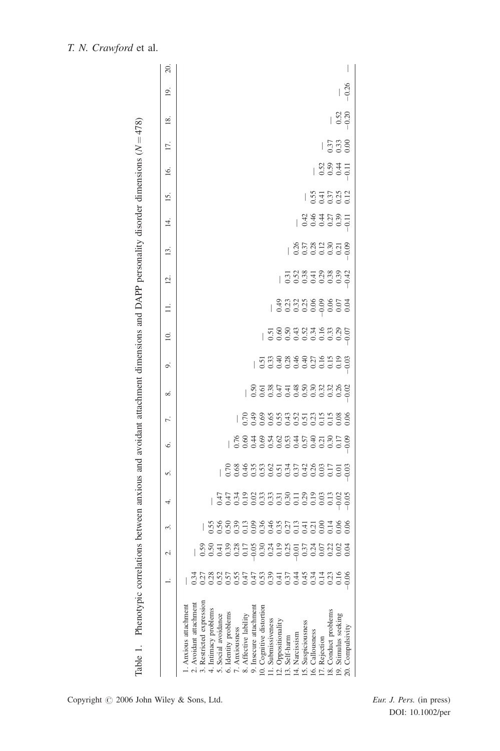|                                                                                                         | 20.               |                       |                        |                          |                      |                     |                      |                |                                                                                   |                        |                          |                                                         |                                                                                                                                                                                                                                                                                                                     |                        |                |                           |                 |                      |                                                     |                      |                  |
|---------------------------------------------------------------------------------------------------------|-------------------|-----------------------|------------------------|--------------------------|----------------------|---------------------|----------------------|----------------|-----------------------------------------------------------------------------------|------------------------|--------------------------|---------------------------------------------------------|---------------------------------------------------------------------------------------------------------------------------------------------------------------------------------------------------------------------------------------------------------------------------------------------------------------------|------------------------|----------------|---------------------------|-----------------|----------------------|-----------------------------------------------------|----------------------|------------------|
|                                                                                                         | 19.               |                       |                        |                          |                      |                     |                      |                |                                                                                   |                        |                          |                                                         |                                                                                                                                                                                                                                                                                                                     |                        |                |                           |                 |                      |                                                     |                      | $-0.26$          |
|                                                                                                         | $\frac{8}{18}$    |                       |                        |                          |                      |                     |                      |                |                                                                                   |                        |                          |                                                         |                                                                                                                                                                                                                                                                                                                     |                        |                |                           |                 |                      |                                                     | $\frac{52}{0.52}$    |                  |
|                                                                                                         | 17.               |                       |                        |                          |                      |                     |                      |                |                                                                                   |                        |                          |                                                         |                                                                                                                                                                                                                                                                                                                     |                        |                |                           |                 |                      | $\begin{array}{c} 0.37 \\ 0.33 \\ 0.00 \end{array}$ |                      |                  |
|                                                                                                         | $\overline{16}$ . |                       |                        |                          |                      |                     |                      |                |                                                                                   |                        |                          |                                                         |                                                                                                                                                                                                                                                                                                                     |                        |                |                           |                 | $\frac{3831}{50041}$ |                                                     |                      |                  |
|                                                                                                         | <b>15.</b>        |                       |                        |                          |                      |                     |                      |                |                                                                                   |                        |                          |                                                         |                                                                                                                                                                                                                                                                                                                     |                        |                |                           |                 | $\frac{5552}{5000}$  |                                                     |                      |                  |
|                                                                                                         |                   |                       |                        |                          |                      |                     |                      |                |                                                                                   |                        |                          |                                                         |                                                                                                                                                                                                                                                                                                                     |                        |                | $\frac{360000}{36420000}$ |                 |                      |                                                     |                      |                  |
|                                                                                                         | $\overline{4}$    |                       |                        |                          |                      |                     |                      |                |                                                                                   |                        |                          |                                                         |                                                                                                                                                                                                                                                                                                                     |                        |                |                           |                 |                      |                                                     |                      |                  |
|                                                                                                         | 13.               |                       |                        |                          |                      |                     |                      |                |                                                                                   |                        |                          |                                                         |                                                                                                                                                                                                                                                                                                                     |                        |                |                           |                 |                      |                                                     |                      |                  |
|                                                                                                         | $\overline{2}$ .  |                       |                        |                          |                      |                     |                      |                |                                                                                   |                        |                          |                                                         |                                                                                                                                                                                                                                                                                                                     | 금입%국원%유산<br>  음업%금입%유산 |                |                           |                 |                      |                                                     |                      |                  |
|                                                                                                         | $\equiv$          |                       |                        |                          |                      |                     |                      |                |                                                                                   |                        |                          |                                                         | $\frac{3}{2}$ $\frac{3}{2}$ $\frac{3}{2}$ $\frac{3}{2}$ $\frac{3}{2}$ $\frac{3}{2}$ $\frac{3}{2}$ $\frac{3}{2}$ $\frac{3}{2}$ $\frac{3}{2}$ $\frac{3}{2}$ $\frac{3}{2}$ $\frac{3}{2}$ $\frac{3}{2}$ $\frac{3}{2}$ $\frac{3}{2}$ $\frac{3}{2}$ $\frac{3}{2}$ $\frac{3}{2}$ $\frac{3}{2}$ $\frac{3}{2}$ $\frac{3}{2}$ |                        |                |                           |                 |                      |                                                     |                      |                  |
|                                                                                                         | $\supseteq$       |                       |                        |                          |                      |                     |                      |                |                                                                                   |                        |                          | 56648456866<br>  5666666666                             |                                                                                                                                                                                                                                                                                                                     |                        |                |                           |                 |                      |                                                     |                      |                  |
|                                                                                                         | o,                |                       |                        |                          |                      |                     |                      |                |                                                                                   |                        |                          | 동영승 영국 중심 중국 중국<br>  영업 영업 영업 영업 영업 이 영업 이 영업           |                                                                                                                                                                                                                                                                                                                     |                        |                |                           |                 |                      |                                                     |                      |                  |
| between anxious and avoidant attachment dimensions and DAPP personality disorder dimensions $(N = 478)$ | ∞ं                |                       |                        |                          |                      |                     |                      |                |                                                                                   |                        |                          | 85 x 3 4 4 4 6 8 9 9 9 9 9<br>  9 9 9 9 9 9 9 9 9 9 9 9 |                                                                                                                                                                                                                                                                                                                     |                        |                |                           |                 |                      |                                                     |                      |                  |
|                                                                                                         | 7.                |                       |                        |                          |                      |                     |                      |                | 2338533553538<br>  23385355555                                                    |                        |                          |                                                         |                                                                                                                                                                                                                                                                                                                     |                        |                |                           |                 |                      |                                                     |                      |                  |
|                                                                                                         | Ġ.                |                       |                        |                          |                      |                     |                      |                | 0.0.0.0.0.0.0.0.0.0.0.0<br>  0.0.0.0.0.0.0.0.0.0.0.0<br>  0.0.0.0.0.0.0.0.0.0.0.0 |                        |                          |                                                         |                                                                                                                                                                                                                                                                                                                     |                        |                |                           |                 |                      |                                                     |                      |                  |
|                                                                                                         | s.                |                       |                        |                          |                      |                     |                      |                |                                                                                   |                        |                          |                                                         |                                                                                                                                                                                                                                                                                                                     |                        |                |                           |                 |                      |                                                     |                      |                  |
|                                                                                                         | 4.                |                       |                        |                          |                      |                     |                      |                |                                                                                   |                        |                          |                                                         |                                                                                                                                                                                                                                                                                                                     |                        |                |                           |                 |                      |                                                     |                      |                  |
|                                                                                                         | 2.                |                       |                        |                          |                      |                     |                      |                | │ 영영영영영영영영영영영영영영영영영                                                               |                        |                          |                                                         |                                                                                                                                                                                                                                                                                                                     |                        |                |                           |                 |                      |                                                     |                      |                  |
|                                                                                                         |                   |                       |                        | 0.59                     | 0.50                 | 0.41                | 0.39                 | 0.28           | 0.17                                                                              | $-0.05$                | 0.30                     | $0.24$<br>0.19                                          |                                                                                                                                                                                                                                                                                                                     | 0.25                   | $-0.01$        | 0.37                      | $0.24$<br>0.07  |                      | 0.22                                                | 0.02                 | 0.04             |
|                                                                                                         |                   |                       |                        | 0.27                     | 0.28                 | 0.52                | 0.57                 |                | 0.55<br>0.47<br>0.47                                                              |                        | $0.5^{\circ}$            | 0.39                                                    | $\frac{4}{1}$<br>0.37                                                                                                                                                                                                                                                                                               |                        | 0.45           |                           | 0.34            | 0.14                 | 0.23                                                | 0.16                 | $-0.06$          |
|                                                                                                         |                   |                       |                        |                          |                      |                     |                      |                |                                                                                   |                        |                          |                                                         |                                                                                                                                                                                                                                                                                                                     |                        |                |                           |                 |                      |                                                     |                      |                  |
|                                                                                                         |                   |                       |                        |                          |                      |                     |                      |                |                                                                                   |                        |                          |                                                         |                                                                                                                                                                                                                                                                                                                     |                        |                |                           |                 |                      |                                                     |                      |                  |
| Table 1. Phenotypic correlations                                                                        |                   | 1. Anxious attachment | 2. Avoidant attachment | 3. Restricted expression | 4. Intimacy problems | 5. Social avoidance | 6. Identity problems | 7. Anxiousness | 8. Affective lability                                                             | 9. Insecure attachment | 10. Cognitive distortion | 11. Submissiveness                                      | 12. Oppositionality                                                                                                                                                                                                                                                                                                 | 13. Self-harm          | 14. Narcissism | 15. Suspiciousness        | 16. Callousness | 17. Rejection        | 18. Conduct problems                                | 19. Stimulus seeking | 20. Compulsivity |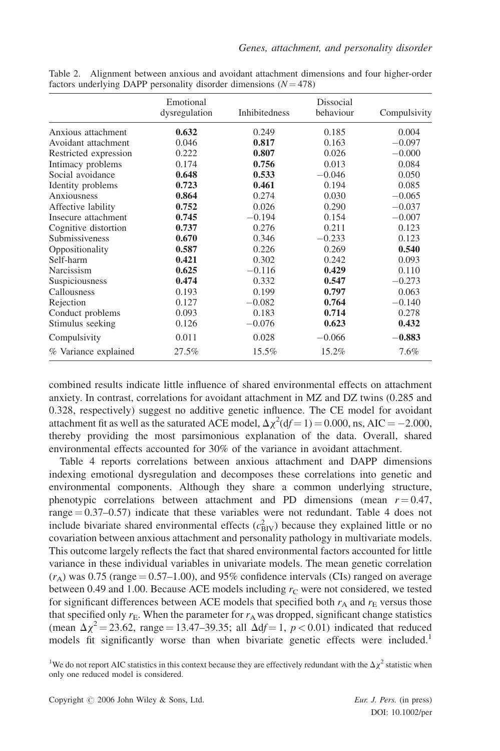|                       | Emotional<br>dysregulation | <b>Inhibitedness</b> | Dissocial<br>behaviour | Compulsivity |
|-----------------------|----------------------------|----------------------|------------------------|--------------|
| Anxious attachment    | 0.632                      | 0.249                | 0.185                  | 0.004        |
| Avoidant attachment   | 0.046                      | 0.817                | 0.163                  | $-0.097$     |
| Restricted expression | 0.222                      | 0.807                | 0.026                  | $-0.000$     |
| Intimacy problems     | 0.174                      | 0.756                | 0.013                  | 0.084        |
| Social avoidance      | 0.648                      | 0.533                | $-0.046$               | 0.050        |
| Identity problems     | 0.723                      | 0.461                | 0.194                  | 0.085        |
| Anxiousness           | 0.864                      | 0.274                | 0.030                  | $-0.065$     |
| Affective lability    | 0.752                      | 0.026                | 0.290                  | $-0.037$     |
| Insecure attachment   | 0.745                      | $-0.194$             | 0.154                  | $-0.007$     |
| Cognitive distortion  | 0.737                      | 0.276                | 0.211                  | 0.123        |
| Submissiveness        | 0.670                      | 0.346                | $-0.233$               | 0.123        |
| Oppositionality       | 0.587                      | 0.226                | 0.269                  | 0.540        |
| Self-harm             | 0.421                      | 0.302                | 0.242                  | 0.093        |
| Narcissism            | 0.625                      | $-0.116$             | 0.429                  | 0.110        |
| Suspiciousness        | 0.474                      | 0.332                | 0.547                  | $-0.273$     |
| Callousness           | 0.193                      | 0.199                | 0.797                  | 0.063        |
| Rejection             | 0.127                      | $-0.082$             | 0.764                  | $-0.140$     |
| Conduct problems      | 0.093                      | 0.183                | 0.714                  | 0.278        |
| Stimulus seeking      | 0.126                      | $-0.076$             | 0.623                  | 0.432        |
| Compulsivity          | 0.011                      | 0.028                | $-0.066$               | $-0.883$     |
| % Variance explained  | 27.5%                      | 15.5%                | 15.2%                  | $7.6\%$      |

Table 2. Alignment between anxious and avoidant attachment dimensions and four higher-order factors underlying DAPP personality disorder dimensions  $(N = 478)$ 

combined results indicate little influence of shared environmental effects on attachment anxiety. In contrast, correlations for avoidant attachment in MZ and DZ twins (0.285 and 0.328, respectively) suggest no additive genetic influence. The CE model for avoidant attachment fit as well as the saturated ACE model,  $\Delta \chi^2(df=1) = 0.000$ , ns, AIC = -2.000, thereby providing the most parsimonious explanation of the data. Overall, shared environmental effects accounted for 30% of the variance in avoidant attachment.

Table 4 reports correlations between anxious attachment and DAPP dimensions indexing emotional dysregulation and decomposes these correlations into genetic and environmental components. Although they share a common underlying structure, phenotypic correlations between attachment and PD dimensions (mean  $r = 0.47$ , range  $= 0.37 - 0.57$ ) indicate that these variables were not redundant. Table 4 does not include bivariate shared environmental effects  $(c<sub>BIV</sub><sup>2</sup>)$  because they explained little or no covariation between anxious attachment and personality pathology in multivariate models. This outcome largely reflects the fact that shared environmental factors accounted for little variance in these individual variables in univariate models. The mean genetic correlation  $(r_A)$  was 0.75 (range = 0.57–1.00), and 95% confidence intervals (CIs) ranged on average between 0.49 and 1.00. Because ACE models including  $r<sub>C</sub>$  were not considered, we tested for significant differences between ACE models that specified both  $r_A$  and  $r_E$  versus those that specified only  $r_E$ . When the parameter for  $r_A$  was dropped, significant change statistics (mean  $\Delta \chi^2$  = 23.62, range = 13.47–39.35; all  $\Delta df$  = 1, p < 0.01) indicated that reduced models fit significantly worse than when bivariate genetic effects were included.<sup>1</sup>

<sup>1</sup>We do not report AIC statistics in this context because they are effectively redundant with the  $\Delta \chi^2$  statistic when only one reduced model is considered.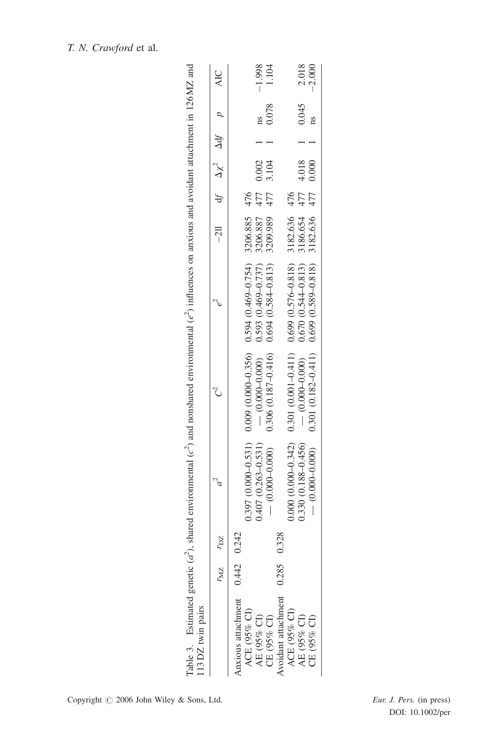|                                | Table 3. Estimated genetic $(a^2)$ , shared environmental $(c^2)$ and nonshared environmental $(e^2)$ influences on anxious and avoidant attachment in 126MZ and |                                                                |                        |                                         |     |       |                        |                     |
|--------------------------------|------------------------------------------------------------------------------------------------------------------------------------------------------------------|----------------------------------------------------------------|------------------------|-----------------------------------------|-----|-------|------------------------|---------------------|
| $r_{\rm MZ}$ $r_{\rm DZ}$      |                                                                                                                                                                  |                                                                |                        | $-211$ df $\Delta \chi^2$ $\Delta df$ p |     |       |                        | <b>AIC</b>          |
| Anxious attachment 0.442 0.242 |                                                                                                                                                                  |                                                                |                        |                                         |     |       |                        |                     |
|                                |                                                                                                                                                                  | $(0.397(0.000-0.531) 0.000-0.356) 0.594(0.469-0.754)$          |                        | 3206.885 476                            |     |       |                        |                     |
| $0.407(0.263 - 0.531)$         |                                                                                                                                                                  | $-$ (0.000-0.000)                                              | $0.593(0.469 - 0.737)$ | 3206.887                                | 477 | 0.002 | $\overline{\text{ns}}$ | $-1.998$            |
| $-$ (0.000-0.000)              |                                                                                                                                                                  | $0.306$ $(0.187 - 0.416)$ $0.694$ $(0.584 - 0.813)$            |                        | 3209.989                                | 477 | 3.104 | 0.078                  | 1.104               |
| 0.285 0.328                    |                                                                                                                                                                  |                                                                |                        |                                         |     |       |                        |                     |
|                                |                                                                                                                                                                  | $0.000(0.000-0.342)$ $0.301(0.001-0.411)$ $0.699(0.576-0.818)$ |                        | 3182.636 476                            |     |       |                        |                     |
| $0.330(0.188 - 0.456)$         |                                                                                                                                                                  | $-$ (0.000-0.000)                                              | $0.670(0.544 - 0.813)$ | 3186.654                                | 477 | 4.018 | 0.045                  | $2.018$<br>$-2.000$ |
|                                |                                                                                                                                                                  | $0.301(0.182 - 0.411)$ $0.699(0.589 - 0.818)$ $3182.636$ $477$ |                        |                                         |     | 0.000 | ns                     |                     |
|                                |                                                                                                                                                                  |                                                                |                        |                                         |     |       |                        |                     |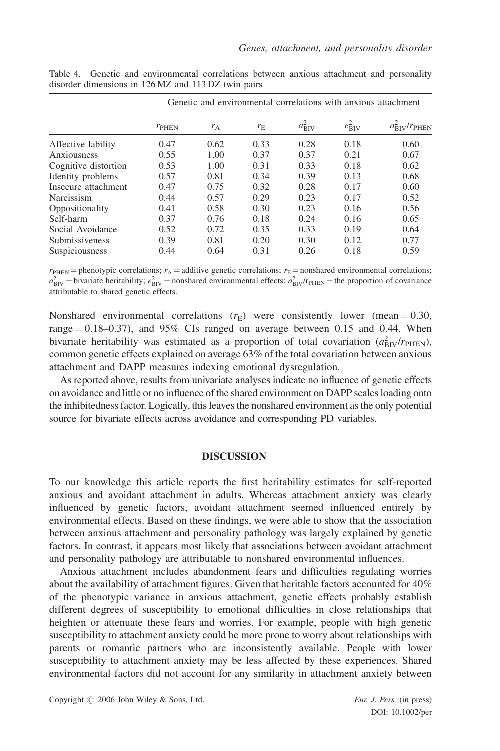|                      |                |       |             |                    |                 | Genetic and environmental correlations with anxious attachment |  |  |
|----------------------|----------------|-------|-------------|--------------------|-----------------|----------------------------------------------------------------|--|--|
|                      | $r_{\rm PHEN}$ | $r_A$ | $r_{\rm E}$ | $a_{\text{BIV}}^2$ | $e_{\rm BIV}^2$ | $a_{\text{RIV}}^2/r_{\text{PHEN}}$                             |  |  |
| Affective lability   | 0.47           | 0.62  | 0.33        | 0.28               | 0.18            | 0.60                                                           |  |  |
| Anxiousness          | 0.55           | 1.00  | 0.37        | 0.37               | 0.21            | 0.67                                                           |  |  |
| Cognitive distortion | 0.53           | 1.00  | 0.31        | 0.33               | 0.18            | 0.62                                                           |  |  |
| Identity problems    | 0.57           | 0.81  | 0.34        | 0.39               | 0.13            | 0.68                                                           |  |  |
| Insecure attachment  | 0.47           | 0.75  | 0.32        | 0.28               | 0.17            | 0.60                                                           |  |  |
| Narcissism           | 0.44           | 0.57  | 0.29        | 0.23               | 0.17            | 0.52                                                           |  |  |
| Oppositionality      | 0.41           | 0.58  | 0.30        | 0.23               | 0.16            | 0.56                                                           |  |  |
| Self-harm            | 0.37           | 0.76  | 0.18        | 0.24               | 0.16            | 0.65                                                           |  |  |
| Social Avoidance     | 0.52           | 0.72  | 0.35        | 0.33               | 0.19            | 0.64                                                           |  |  |
| Submissiveness       | 0.39           | 0.81  | 0.20        | 0.30               | 0.12            | 0.77                                                           |  |  |
| Suspiciousness       | 0.44           | 0.64  | 0.31        | 0.26               | 0.18            | 0.59                                                           |  |  |

Table 4. Genetic and environmental correlations between anxious attachment and personality disorder dimensions in 126 MZ and 113 DZ twin pairs

 $r_{\text{PEEN}}$  = phenotypic correlations;  $r_A$  = additive genetic correlations;  $r_E$  = nonshared environmental correlations;  $a_{\text{BIV}}^2$  = bivariate heritability;  $e_{\text{BIV}}^2$  = nonshared environmental effects;  $a_{\text{BIV}}^2/r_{\text{PHEN}}$  = the proportion of covariance attributable to shared genetic effects.

Nonshared environmental correlations  $(r_F)$  were consistently lower (mean = 0.30, range  $= 0.18 - 0.37$ ), and 95% CIs ranged on average between 0.15 and 0.44. When bivariate heritability was estimated as a proportion of total covariation  $(a_{\text{BIV}}^2/r_{\text{PHEN}})$ , common genetic effects explained on average 63% of the total covariation between anxious attachment and DAPP measures indexing emotional dysregulation.

As reported above, results from univariate analyses indicate no influence of genetic effects on avoidance and little or no influence of the shared environment on DAPP scales loading onto the inhibitedness factor. Logically, this leaves the nonshared environment as the only potential source for bivariate effects across avoidance and corresponding PD variables.

#### **DISCUSSION**

To our knowledge this article reports the first heritability estimates for self-reported anxious and avoidant attachment in adults. Whereas attachment anxiety was clearly influenced by genetic factors, avoidant attachment seemed influenced entirely by environmental effects. Based on these findings, we were able to show that the association between anxious attachment and personality pathology was largely explained by genetic factors. In contrast, it appears most likely that associations between avoidant attachment and personality pathology are attributable to nonshared environmental influences.

Anxious attachment includes abandonment fears and difficulties regulating worries about the availability of attachment figures. Given that heritable factors accounted for 40% of the phenotypic variance in anxious attachment, genetic effects probably establish different degrees of susceptibility to emotional difficulties in close relationships that heighten or attenuate these fears and worries. For example, people with high genetic susceptibility to attachment anxiety could be more prone to worry about relationships with parents or romantic partners who are inconsistently available. People with lower susceptibility to attachment anxiety may be less affected by these experiences. Shared environmental factors did not account for any similarity in attachment anxiety between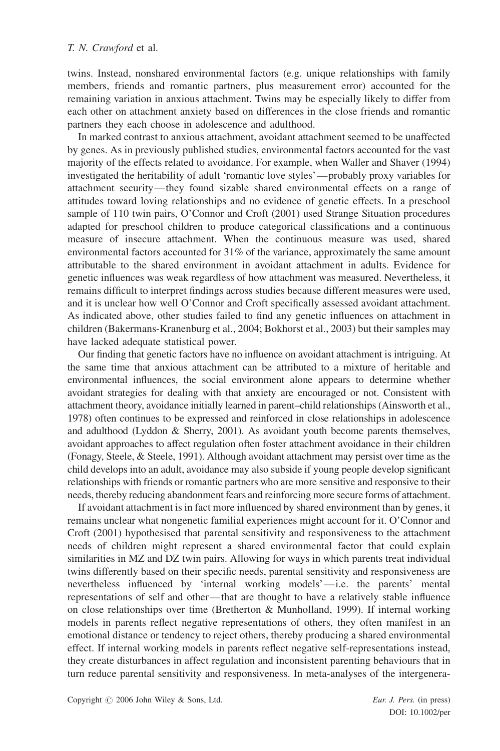twins. Instead, nonshared environmental factors (e.g. unique relationships with family members, friends and romantic partners, plus measurement error) accounted for the remaining variation in anxious attachment. Twins may be especially likely to differ from each other on attachment anxiety based on differences in the close friends and romantic partners they each choose in adolescence and adulthood.

In marked contrast to anxious attachment, avoidant attachment seemed to be unaffected by genes. As in previously published studies, environmental factors accounted for the vast majority of the effects related to avoidance. For example, when Waller and Shaver (1994) investigated the heritability of adult 'romantic love styles'—probably proxy variables for attachment security—they found sizable shared environmental effects on a range of attitudes toward loving relationships and no evidence of genetic effects. In a preschool sample of 110 twin pairs, O'Connor and Croft (2001) used Strange Situation procedures adapted for preschool children to produce categorical classifications and a continuous measure of insecure attachment. When the continuous measure was used, shared environmental factors accounted for 31% of the variance, approximately the same amount attributable to the shared environment in avoidant attachment in adults. Evidence for genetic influences was weak regardless of how attachment was measured. Nevertheless, it remains difficult to interpret findings across studies because different measures were used, and it is unclear how well O'Connor and Croft specifically assessed avoidant attachment. As indicated above, other studies failed to find any genetic influences on attachment in children (Bakermans-Kranenburg et al., 2004; Bokhorst et al., 2003) but their samples may have lacked adequate statistical power.

Our finding that genetic factors have no influence on avoidant attachment is intriguing. At the same time that anxious attachment can be attributed to a mixture of heritable and environmental influences, the social environment alone appears to determine whether avoidant strategies for dealing with that anxiety are encouraged or not. Consistent with attachment theory, avoidance initially learned in parent–child relationships (Ainsworth et al., 1978) often continues to be expressed and reinforced in close relationships in adolescence and adulthood (Lyddon & Sherry, 2001). As avoidant youth become parents themselves, avoidant approaches to affect regulation often foster attachment avoidance in their children (Fonagy, Steele, & Steele, 1991). Although avoidant attachment may persist over time as the child develops into an adult, avoidance may also subside if young people develop significant relationships with friends or romantic partners who are more sensitive and responsive to their needs, thereby reducing abandonment fears and reinforcing more secure forms of attachment.

If avoidant attachment is in fact more influenced by shared environment than by genes, it remains unclear what nongenetic familial experiences might account for it. O'Connor and Croft (2001) hypothesised that parental sensitivity and responsiveness to the attachment needs of children might represent a shared environmental factor that could explain similarities in MZ and DZ twin pairs. Allowing for ways in which parents treat individual twins differently based on their specific needs, parental sensitivity and responsiveness are nevertheless influenced by 'internal working models'—i.e. the parents' mental representations of self and other—that are thought to have a relatively stable influence on close relationships over time (Bretherton & Munholland, 1999). If internal working models in parents reflect negative representations of others, they often manifest in an emotional distance or tendency to reject others, thereby producing a shared environmental effect. If internal working models in parents reflect negative self-representations instead, they create disturbances in affect regulation and inconsistent parenting behaviours that in turn reduce parental sensitivity and responsiveness. In meta-analyses of the intergenera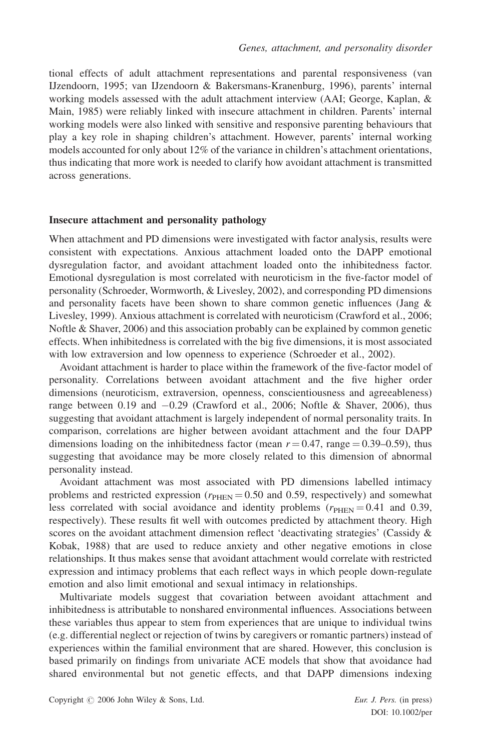tional effects of adult attachment representations and parental responsiveness (van IJzendoorn, 1995; van IJzendoorn & Bakersmans-Kranenburg, 1996), parents' internal working models assessed with the adult attachment interview (AAI; George, Kaplan, & Main, 1985) were reliably linked with insecure attachment in children. Parents' internal working models were also linked with sensitive and responsive parenting behaviours that play a key role in shaping children's attachment. However, parents' internal working models accounted for only about 12% of the variance in children's attachment orientations, thus indicating that more work is needed to clarify how avoidant attachment is transmitted across generations.

#### Insecure attachment and personality pathology

When attachment and PD dimensions were investigated with factor analysis, results were consistent with expectations. Anxious attachment loaded onto the DAPP emotional dysregulation factor, and avoidant attachment loaded onto the inhibitedness factor. Emotional dysregulation is most correlated with neuroticism in the five-factor model of personality (Schroeder, Wormworth, & Livesley, 2002), and corresponding PD dimensions and personality facets have been shown to share common genetic influences (Jang & Livesley, 1999). Anxious attachment is correlated with neuroticism (Crawford et al., 2006; Noftle & Shaver, 2006) and this association probably can be explained by common genetic effects. When inhibitedness is correlated with the big five dimensions, it is most associated with low extraversion and low openness to experience (Schroeder et al., 2002).

Avoidant attachment is harder to place within the framework of the five-factor model of personality. Correlations between avoidant attachment and the five higher order dimensions (neuroticism, extraversion, openness, conscientiousness and agreeableness) range between 0.19 and  $-0.29$  (Crawford et al., 2006; Noftle & Shaver, 2006), thus suggesting that avoidant attachment is largely independent of normal personality traits. In comparison, correlations are higher between avoidant attachment and the four DAPP dimensions loading on the inhibitedness factor (mean  $r = 0.47$ , range  $= 0.39 - 0.59$ ), thus suggesting that avoidance may be more closely related to this dimension of abnormal personality instead.

Avoidant attachment was most associated with PD dimensions labelled intimacy problems and restricted expression  $(r_{\text{HEN}} = 0.50 \text{ and } 0.59, \text{ respectively})$  and somewhat less correlated with social avoidance and identity problems ( $r_{\text{PHEN}} = 0.41$  and 0.39, respectively). These results fit well with outcomes predicted by attachment theory. High scores on the avoidant attachment dimension reflect 'deactivating strategies' (Cassidy & Kobak, 1988) that are used to reduce anxiety and other negative emotions in close relationships. It thus makes sense that avoidant attachment would correlate with restricted expression and intimacy problems that each reflect ways in which people down-regulate emotion and also limit emotional and sexual intimacy in relationships.

Multivariate models suggest that covariation between avoidant attachment and inhibitedness is attributable to nonshared environmental influences. Associations between these variables thus appear to stem from experiences that are unique to individual twins (e.g. differential neglect or rejection of twins by caregivers or romantic partners) instead of experiences within the familial environment that are shared. However, this conclusion is based primarily on findings from univariate ACE models that show that avoidance had shared environmental but not genetic effects, and that DAPP dimensions indexing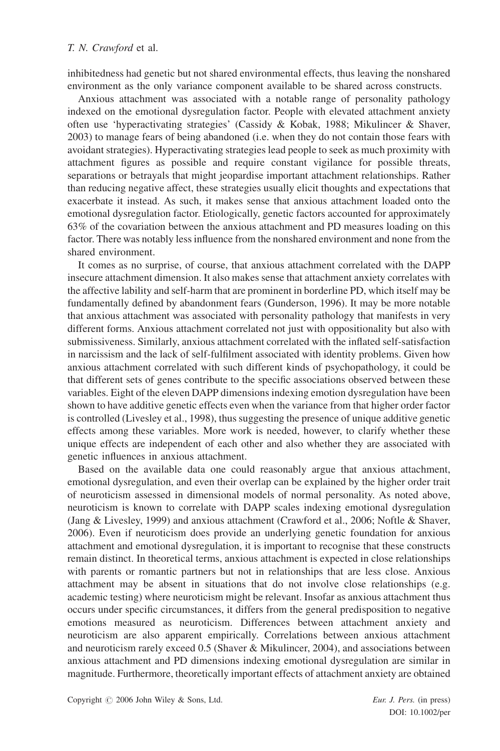inhibitedness had genetic but not shared environmental effects, thus leaving the nonshared environment as the only variance component available to be shared across constructs.

Anxious attachment was associated with a notable range of personality pathology indexed on the emotional dysregulation factor. People with elevated attachment anxiety often use 'hyperactivating strategies' (Cassidy & Kobak, 1988; Mikulincer & Shaver, 2003) to manage fears of being abandoned (i.e. when they do not contain those fears with avoidant strategies). Hyperactivating strategies lead people to seek as much proximity with attachment figures as possible and require constant vigilance for possible threats, separations or betrayals that might jeopardise important attachment relationships. Rather than reducing negative affect, these strategies usually elicit thoughts and expectations that exacerbate it instead. As such, it makes sense that anxious attachment loaded onto the emotional dysregulation factor. Etiologically, genetic factors accounted for approximately 63% of the covariation between the anxious attachment and PD measures loading on this factor. There was notably less influence from the nonshared environment and none from the shared environment.

It comes as no surprise, of course, that anxious attachment correlated with the DAPP insecure attachment dimension. It also makes sense that attachment anxiety correlates with the affective lability and self-harm that are prominent in borderline PD, which itself may be fundamentally defined by abandonment fears (Gunderson, 1996). It may be more notable that anxious attachment was associated with personality pathology that manifests in very different forms. Anxious attachment correlated not just with oppositionality but also with submissiveness. Similarly, anxious attachment correlated with the inflated self-satisfaction in narcissism and the lack of self-fulfilment associated with identity problems. Given how anxious attachment correlated with such different kinds of psychopathology, it could be that different sets of genes contribute to the specific associations observed between these variables. Eight of the eleven DAPP dimensions indexing emotion dysregulation have been shown to have additive genetic effects even when the variance from that higher order factor is controlled (Livesley et al., 1998), thus suggesting the presence of unique additive genetic effects among these variables. More work is needed, however, to clarify whether these unique effects are independent of each other and also whether they are associated with genetic influences in anxious attachment.

Based on the available data one could reasonably argue that anxious attachment, emotional dysregulation, and even their overlap can be explained by the higher order trait of neuroticism assessed in dimensional models of normal personality. As noted above, neuroticism is known to correlate with DAPP scales indexing emotional dysregulation (Jang & Livesley, 1999) and anxious attachment (Crawford et al., 2006; Noftle & Shaver, 2006). Even if neuroticism does provide an underlying genetic foundation for anxious attachment and emotional dysregulation, it is important to recognise that these constructs remain distinct. In theoretical terms, anxious attachment is expected in close relationships with parents or romantic partners but not in relationships that are less close. Anxious attachment may be absent in situations that do not involve close relationships (e.g. academic testing) where neuroticism might be relevant. Insofar as anxious attachment thus occurs under specific circumstances, it differs from the general predisposition to negative emotions measured as neuroticism. Differences between attachment anxiety and neuroticism are also apparent empirically. Correlations between anxious attachment and neuroticism rarely exceed 0.5 (Shaver & Mikulincer, 2004), and associations between anxious attachment and PD dimensions indexing emotional dysregulation are similar in magnitude. Furthermore, theoretically important effects of attachment anxiety are obtained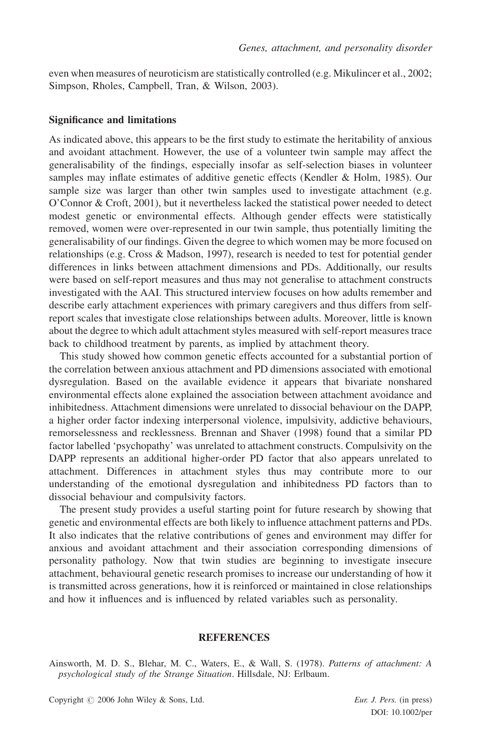even when measures of neuroticism are statistically controlled (e.g. Mikulincer et al., 2002; Simpson, Rholes, Campbell, Tran, & Wilson, 2003).

#### Significance and limitations

As indicated above, this appears to be the first study to estimate the heritability of anxious and avoidant attachment. However, the use of a volunteer twin sample may affect the generalisability of the findings, especially insofar as self-selection biases in volunteer samples may inflate estimates of additive genetic effects (Kendler & Holm, 1985). Our sample size was larger than other twin samples used to investigate attachment (e.g. O'Connor & Croft, 2001), but it nevertheless lacked the statistical power needed to detect modest genetic or environmental effects. Although gender effects were statistically removed, women were over-represented in our twin sample, thus potentially limiting the generalisability of our findings. Given the degree to which women may be more focused on relationships (e.g. Cross & Madson, 1997), research is needed to test for potential gender differences in links between attachment dimensions and PDs. Additionally, our results were based on self-report measures and thus may not generalise to attachment constructs investigated with the AAI. This structured interview focuses on how adults remember and describe early attachment experiences with primary caregivers and thus differs from selfreport scales that investigate close relationships between adults. Moreover, little is known about the degree to which adult attachment styles measured with self-report measures trace back to childhood treatment by parents, as implied by attachment theory.

This study showed how common genetic effects accounted for a substantial portion of the correlation between anxious attachment and PD dimensions associated with emotional dysregulation. Based on the available evidence it appears that bivariate nonshared environmental effects alone explained the association between attachment avoidance and inhibitedness. Attachment dimensions were unrelated to dissocial behaviour on the DAPP, a higher order factor indexing interpersonal violence, impulsivity, addictive behaviours, remorselessness and recklessness. Brennan and Shaver (1998) found that a similar PD factor labelled 'psychopathy' was unrelated to attachment constructs. Compulsivity on the DAPP represents an additional higher-order PD factor that also appears unrelated to attachment. Differences in attachment styles thus may contribute more to our understanding of the emotional dysregulation and inhibitedness PD factors than to dissocial behaviour and compulsivity factors.

The present study provides a useful starting point for future research by showing that genetic and environmental effects are both likely to influence attachment patterns and PDs. It also indicates that the relative contributions of genes and environment may differ for anxious and avoidant attachment and their association corresponding dimensions of personality pathology. Now that twin studies are beginning to investigate insecure attachment, behavioural genetic research promises to increase our understanding of how it is transmitted across generations, how it is reinforced or maintained in close relationships and how it influences and is influenced by related variables such as personality.

#### **REFERENCES**

Ainsworth, M. D. S., Blehar, M. C., Waters, E., & Wall, S. (1978). Patterns of attachment: A psychological study of the Strange Situation. Hillsdale, NJ: Erlbaum.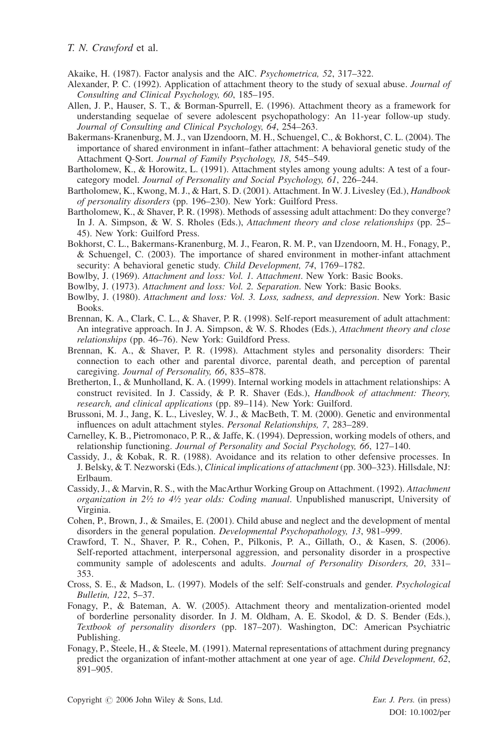Akaike, H. (1987). Factor analysis and the AIC. Psychometrica, 52, 317–322.

- Alexander, P. C. (1992). Application of attachment theory to the study of sexual abuse. *Journal of* Consulting and Clinical Psychology, 60, 185–195.
- Allen, J. P., Hauser, S. T., & Borman-Spurrell, E. (1996). Attachment theory as a framework for understanding sequelae of severe adolescent psychopathology: An 11-year follow-up study. Journal of Consulting and Clinical Psychology, 64, 254–263.
- Bakermans-Kranenburg, M. J., van IJzendoorn, M. H., Schuengel, C., & Bokhorst, C. L. (2004). The importance of shared environment in infant–father attachment: A behavioral genetic study of the Attachment Q-Sort. Journal of Family Psychology, 18, 545–549.
- Bartholomew, K., & Horowitz, L. (1991). Attachment styles among young adults: A test of a fourcategory model. Journal of Personality and Social Psychology, 61, 226–244.
- Bartholomew, K., Kwong, M. J., & Hart, S. D. (2001). Attachment. In W. J. Livesley (Ed.), Handbook of personality disorders (pp. 196–230). New York: Guilford Press.
- Bartholomew, K., & Shaver, P. R. (1998). Methods of assessing adult attachment: Do they converge? In J. A. Simpson, & W. S. Rholes (Eds.), Attachment theory and close relationships (pp. 25– 45). New York: Guilford Press.
- Bokhorst, C. L., Bakermans-Kranenburg, M. J., Fearon, R. M. P., van IJzendoorn, M. H., Fonagy, P., & Schuengel, C. (2003). The importance of shared environment in mother-infant attachment security: A behavioral genetic study. Child Development, 74, 1769–1782.
- Bowlby, J. (1969). Attachment and loss: Vol. 1. Attachment. New York: Basic Books.
- Bowlby, J. (1973). Attachment and loss: Vol. 2. Separation. New York: Basic Books.
- Bowlby, J. (1980). Attachment and loss: Vol. 3. Loss, sadness, and depression. New York: Basic Books.
- Brennan, K. A., Clark, C. L., & Shaver, P. R. (1998). Self-report measurement of adult attachment: An integrative approach. In J. A. Simpson, & W. S. Rhodes (Eds.), Attachment theory and close relationships (pp. 46–76). New York: Guildford Press.
- Brennan, K. A., & Shaver, P. R. (1998). Attachment styles and personality disorders: Their connection to each other and parental divorce, parental death, and perception of parental caregiving. Journal of Personality, 66, 835–878.
- Bretherton, I., & Munholland, K. A. (1999). Internal working models in attachment relationships: A construct revisited. In J. Cassidy, & P. R. Shaver (Eds.), Handbook of attachment: Theory, research, and clinical applications (pp. 89–114). New York: Guilford.
- Brussoni, M. J., Jang, K. L., Livesley, W. J., & MacBeth, T. M. (2000). Genetic and environmental influences on adult attachment styles. Personal Relationships, 7, 283–289.
- Carnelley, K. B., Pietromonaco, P. R., & Jaffe, K. (1994). Depression, working models of others, and relationship functioning. Journal of Personality and Social Psychology, 66, 127–140.
- Cassidy, J., & Kobak, R. R. (1988). Avoidance and its relation to other defensive processes. In J. Belsky, & T. Nezworski (Eds.), Clinical implications of attachment (pp. 300–323). Hillsdale, NJ: Erlbaum.
- Cassidy, J., & Marvin, R. S., with the MacArthur Working Group on Attachment. (1992). Attachment organization in  $2\frac{1}{2}$  to  $4\frac{1}{2}$  year olds: Coding manual. Unpublished manuscript, University of Virginia.
- Cohen, P., Brown, J., & Smailes, E. (2001). Child abuse and neglect and the development of mental disorders in the general population. Developmental Psychopathology, 13, 981–999.
- Crawford, T. N., Shaver, P. R., Cohen, P., Pilkonis, P. A., Gillath, O., & Kasen, S. (2006). Self-reported attachment, interpersonal aggression, and personality disorder in a prospective community sample of adolescents and adults. Journal of Personality Disorders, 20, 331– 353.
- Cross, S. E., & Madson, L. (1997). Models of the self: Self-construals and gender. Psychological Bulletin, 122, 5–37.
- Fonagy, P., & Bateman, A. W. (2005). Attachment theory and mentalization-oriented model of borderline personality disorder. In J. M. Oldham, A. E. Skodol, & D. S. Bender (Eds.), Textbook of personality disorders (pp. 187–207). Washington, DC: American Psychiatric Publishing.
- Fonagy, P., Steele, H., & Steele, M. (1991). Maternal representations of attachment during pregnancy predict the organization of infant-mother attachment at one year of age. Child Development, 62, 891–905.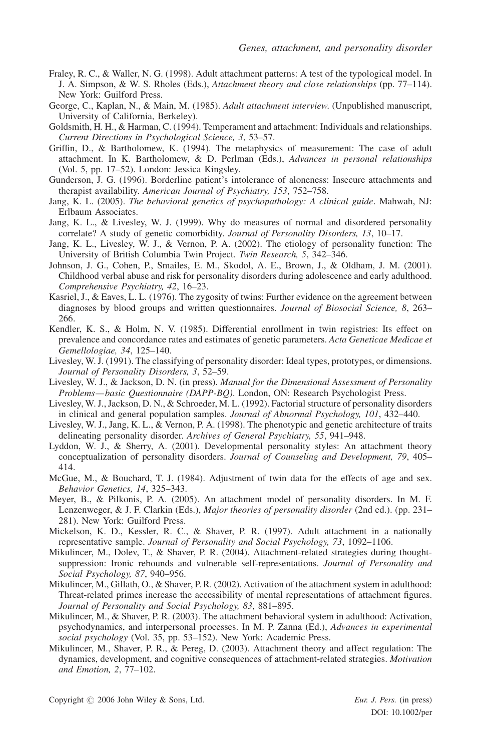- Fraley, R. C., & Waller, N. G. (1998). Adult attachment patterns: A test of the typological model. In J. A. Simpson, & W. S. Rholes (Eds.), Attachment theory and close relationships (pp. 77–114). New York: Guilford Press.
- George, C., Kaplan, N., & Main, M. (1985). Adult attachment interview. (Unpublished manuscript, University of California, Berkeley).
- Goldsmith, H. H., & Harman, C. (1994). Temperament and attachment: Individuals and relationships. Current Directions in Psychological Science, 3, 53–57.
- Griffin, D., & Bartholomew, K. (1994). The metaphysics of measurement: The case of adult attachment. In K. Bartholomew, & D. Perlman (Eds.), Advances in personal relationships (Vol. 5, pp. 17–52). London: Jessica Kingsley.
- Gunderson, J. G. (1996). Borderline patient's intolerance of aloneness: Insecure attachments and therapist availability. American Journal of Psychiatry, 153, 752–758.
- Jang, K. L. (2005). The behavioral genetics of psychopathology: A clinical guide. Mahwah, NJ: Erlbaum Associates.
- Jang, K. L., & Livesley, W. J. (1999). Why do measures of normal and disordered personality correlate? A study of genetic comorbidity. Journal of Personality Disorders, 13, 10–17.
- Jang, K. L., Livesley, W. J., & Vernon, P. A. (2002). The etiology of personality function: The University of British Columbia Twin Project. Twin Research, 5, 342–346.
- Johnson, J. G., Cohen, P., Smailes, E. M., Skodol, A. E., Brown, J., & Oldham, J. M. (2001). Childhood verbal abuse and risk for personality disorders during adolescence and early adulthood. Comprehensive Psychiatry, 42, 16–23.
- Kasriel, J., & Eaves, L. L. (1976). The zygosity of twins: Further evidence on the agreement between diagnoses by blood groups and written questionnaires. Journal of Biosocial Science, 8, 263– 266.
- Kendler, K. S., & Holm, N. V. (1985). Differential enrollment in twin registries: Its effect on prevalence and concordance rates and estimates of genetic parameters. Acta Geneticae Medicae et Gemellologiae, 34, 125–140.
- Livesley, W. J. (1991). The classifying of personality disorder: Ideal types, prototypes, or dimensions. Journal of Personality Disorders, 3, 52–59.
- Livesley, W. J., & Jackson, D. N. (in press). Manual for the Dimensional Assessment of Personality Problems—basic Questionnaire (DAPP-BQ). London, ON: Research Psychologist Press.
- Livesley, W. J., Jackson, D. N., & Schroeder, M. L. (1992). Factorial structure of personality disorders in clinical and general population samples. Journal of Abnormal Psychology, 101, 432–440.
- Livesley, W. J., Jang, K. L., & Vernon, P. A. (1998). The phenotypic and genetic architecture of traits delineating personality disorder. Archives of General Psychiatry, 55, 941–948.
- Lyddon, W. J., & Sherry, A. (2001). Developmental personality styles: An attachment theory conceptualization of personality disorders. Journal of Counseling and Development, 79, 405– 414.
- McGue, M., & Bouchard, T. J. (1984). Adjustment of twin data for the effects of age and sex. Behavior Genetics, 14, 325–343.
- Meyer, B., & Pilkonis, P. A. (2005). An attachment model of personality disorders. In M. F. Lenzenweger, & J. F. Clarkin (Eds.), *Major theories of personality disorder* (2nd ed.). (pp. 231– 281). New York: Guilford Press.
- Mickelson, K. D., Kessler, R. C., & Shaver, P. R. (1997). Adult attachment in a nationally representative sample. Journal of Personality and Social Psychology, 73, 1092–1106.
- Mikulincer, M., Dolev, T., & Shaver, P. R. (2004). Attachment-related strategies during thoughtsuppression: Ironic rebounds and vulnerable self-representations. Journal of Personality and Social Psychology, 87, 940–956.
- Mikulincer, M., Gillath, O., & Shaver, P. R. (2002). Activation of the attachment system in adulthood: Threat-related primes increase the accessibility of mental representations of attachment figures. Journal of Personality and Social Psychology, 83, 881–895.
- Mikulincer, M., & Shaver, P. R. (2003). The attachment behavioral system in adulthood: Activation, psychodynamics, and interpersonal processes. In M. P. Zanna (Ed.), Advances in experimental social psychology (Vol. 35, pp. 53–152). New York: Academic Press.
- Mikulincer, M., Shaver, P. R., & Pereg, D. (2003). Attachment theory and affect regulation: The dynamics, development, and cognitive consequences of attachment-related strategies. Motivation and Emotion, 2, 77–102.